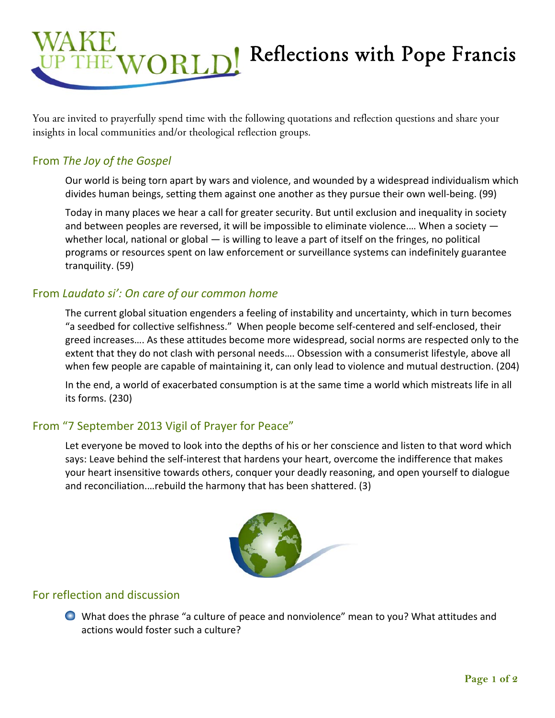

You are invited to prayerfully spend time with the following quotations and reflection questions and share your insights in local communities and/or theological reflection groups.

## From *The Joy of the Gospel*

Our world is being torn apart by wars and violence, and wounded by a widespread individualism which divides human beings, setting them against one another as they pursue their own well‐being. (99)

Today in many places we hear a call for greater security. But until exclusion and inequality in society and between peoples are reversed, it will be impossible to eliminate violence.… When a society whether local, national or global — is willing to leave a part of itself on the fringes, no political programs or resources spent on law enforcement or surveillance systems can indefinitely guarantee tranquility. (59)

## From *Laudato si': On care of our common home*

The current global situation engenders a feeling of instability and uncertainty, which in turn becomes "a seedbed for collective selfishness." When people become self‐centered and self‐enclosed, their greed increases…. As these attitudes become more widespread, social norms are respected only to the extent that they do not clash with personal needs…. Obsession with a consumerist lifestyle, above all when few people are capable of maintaining it, can only lead to violence and mutual destruction. (204)

In the end, a world of exacerbated consumption is at the same time a world which mistreats life in all its forms. (230)

## From "7 September 2013 Vigil of Prayer for Peace"

Let everyone be moved to look into the depths of his or her conscience and listen to that word which says: Leave behind the self-interest that hardens your heart, overcome the indifference that makes your heart insensitive towards others, conquer your deadly reasoning, and open yourself to dialogue and reconciliation.…rebuild the harmony that has been shattered. (3)



## For reflection and discussion

What does the phrase "a culture of peace and nonviolence" mean to you? What attitudes and actions would foster such a culture?